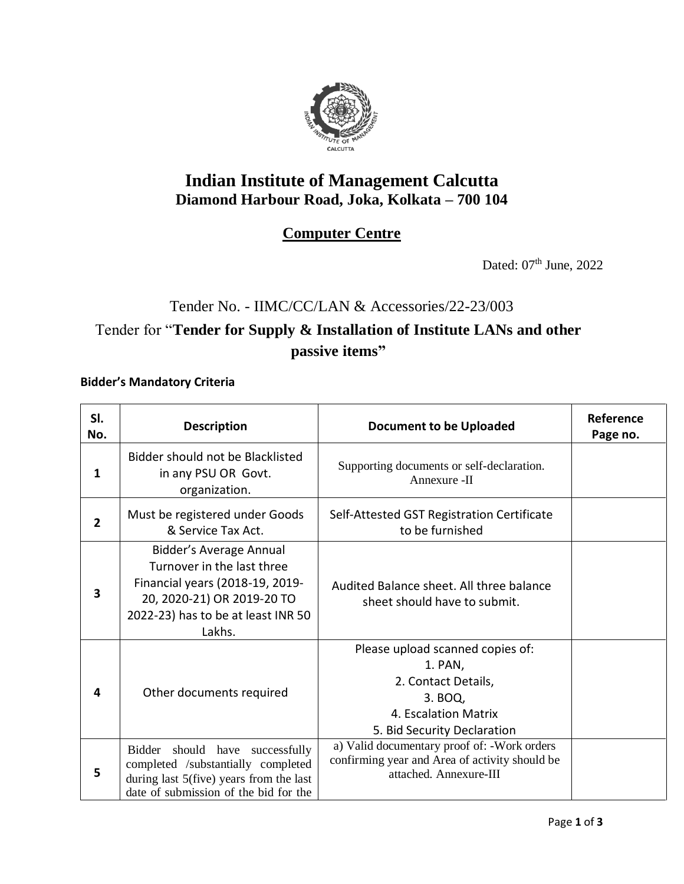

### **Indian Institute of Management Calcutta Diamond Harbour Road, Joka, Kolkata – 700 104**

#### **Computer Centre**

Dated:  $07<sup>th</sup>$  June, 2022

# Tender No. - IIMC/CC/LAN & Accessories/22-23/003

## Tender for "**Tender for Supply & Installation of Institute LANs and other passive items"**

#### **Bidder's Mandatory Criteria**

| SI.<br>No. | <b>Description</b>                                                                                                                                                     | <b>Document to be Uploaded</b>                                                                                                       | Reference<br>Page no. |
|------------|------------------------------------------------------------------------------------------------------------------------------------------------------------------------|--------------------------------------------------------------------------------------------------------------------------------------|-----------------------|
| 1          | Bidder should not be Blacklisted<br>in any PSU OR Govt.<br>organization.                                                                                               | Supporting documents or self-declaration.<br>Annexure -II                                                                            |                       |
| 2          | Must be registered under Goods<br>& Service Tax Act.                                                                                                                   | Self-Attested GST Registration Certificate<br>to be furnished                                                                        |                       |
| 3          | Bidder's Average Annual<br>Turnover in the last three<br>Financial years (2018-19, 2019-<br>20, 2020-21) OR 2019-20 TO<br>2022-23) has to be at least INR 50<br>Lakhs. | Audited Balance sheet. All three balance<br>sheet should have to submit.                                                             |                       |
| 4          | Other documents required                                                                                                                                               | Please upload scanned copies of:<br>1. PAN,<br>2. Contact Details,<br>3. BOQ,<br>4. Escalation Matrix<br>5. Bid Security Declaration |                       |
| 5          | should have successfully<br>Bidder<br>completed /substantially completed<br>during last 5(five) years from the last<br>date of submission of the bid for the           | a) Valid documentary proof of: - Work orders<br>confirming year and Area of activity should be<br>attached. Annexure-III             |                       |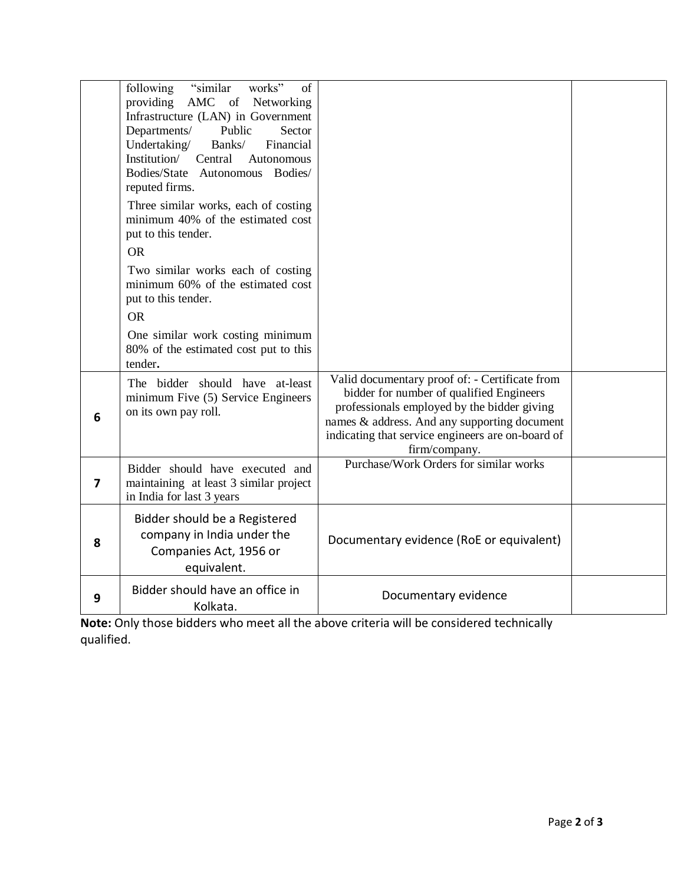|   | "similar"<br>works"<br>following<br>of<br>AMC of Networking<br>providing<br>Infrastructure (LAN) in Government<br>Sector<br>Departments/<br>Public<br>Undertaking/<br>Financial<br>Banks/<br>Institution/<br>Central<br>Autonomous<br>Bodies/State Autonomous Bodies/<br>reputed firms.<br>Three similar works, each of costing<br>minimum 40% of the estimated cost<br>put to this tender.<br><b>OR</b><br>Two similar works each of costing<br>minimum 60% of the estimated cost<br>put to this tender.<br><b>OR</b><br>One similar work costing minimum<br>80% of the estimated cost put to this<br>tender. |                                                                                                                                                                                                                                                                 |  |
|---|----------------------------------------------------------------------------------------------------------------------------------------------------------------------------------------------------------------------------------------------------------------------------------------------------------------------------------------------------------------------------------------------------------------------------------------------------------------------------------------------------------------------------------------------------------------------------------------------------------------|-----------------------------------------------------------------------------------------------------------------------------------------------------------------------------------------------------------------------------------------------------------------|--|
| 6 | The bidder should have at-least<br>minimum Five (5) Service Engineers<br>on its own pay roll.                                                                                                                                                                                                                                                                                                                                                                                                                                                                                                                  | Valid documentary proof of: - Certificate from<br>bidder for number of qualified Engineers<br>professionals employed by the bidder giving<br>names & address. And any supporting document<br>indicating that service engineers are on-board of<br>firm/company. |  |
| 7 | Bidder should have executed and<br>maintaining at least 3 similar project<br>in India for last 3 years                                                                                                                                                                                                                                                                                                                                                                                                                                                                                                         | Purchase/Work Orders for similar works                                                                                                                                                                                                                          |  |
| 8 | Bidder should be a Registered<br>company in India under the<br>Companies Act, 1956 or<br>equivalent.                                                                                                                                                                                                                                                                                                                                                                                                                                                                                                           | Documentary evidence (RoE or equivalent)                                                                                                                                                                                                                        |  |
| 9 | Bidder should have an office in<br>Kolkata.                                                                                                                                                                                                                                                                                                                                                                                                                                                                                                                                                                    | Documentary evidence                                                                                                                                                                                                                                            |  |

**Note:** Only those bidders who meet all the above criteria will be considered technically qualified.